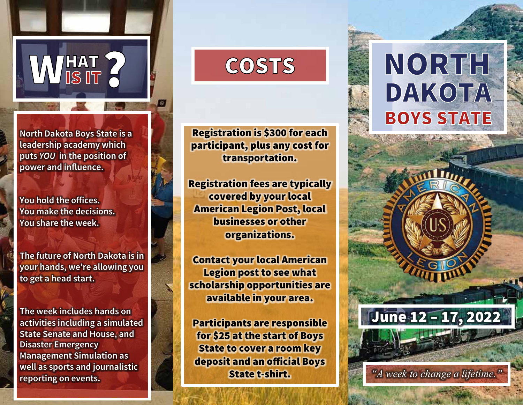

**HAT<br>IS IT** 

**You** hold the offices. **You make the decisions. You share the week.**

**The future of North Dakota is in your hands, we're allowing you to get a head start.**

**The week includes hands on activities including a simulated State Senate and House, and Disaster Emergency Management Simulation as well as sports and journalistic reporting on events.**

#### **COSTS**

Registration is \$300 for each participant, plus any cost for transportation.

Registration fees are typically covered by your local American Legion Post, local businesses or other organizations.

Contact your local American Legion post to see what scholarship opportunities are available in your area.

Participants are responsible for \$25 at the start of Boys State to cover a room key deposit and an official Boys State t-shirt.

# NORTH **DAKOTA BOYS STATE**